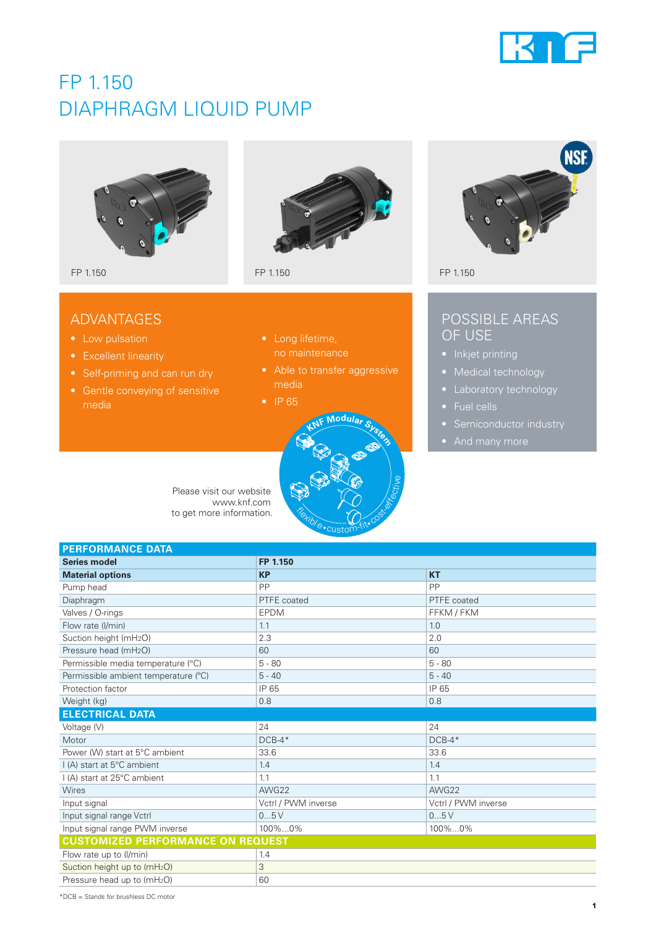

# FP 1.150 DIAPHRAGM LIQUID PUMP





- 
- 
- 
- media



- 
- Able to transfer aggressive media
- IP 65



Please visit our website www.knf.com to get more information.

# **NSF**

# POSSIBLE AREAS OF USE

- 
- Medical technology
- 
- 
- 
- 

| <b>PERFORMANCE DATA</b>                  |                     |                     |  |
|------------------------------------------|---------------------|---------------------|--|
| <b>Series model</b>                      | FP 1.150            |                     |  |
| <b>Material options</b>                  | <b>KP</b>           | <b>KT</b>           |  |
| Pump head                                | PP                  | PP                  |  |
| Diaphragm                                | PTFE coated         | PTFE coated         |  |
| Valves / O-rings                         | <b>EPDM</b>         | FFKM / FKM          |  |
| Flow rate (I/min)                        | 1.1                 | 1.0                 |  |
| Suction height (mH <sub>2</sub> O)       | 2.3                 | 2.0                 |  |
| Pressure head (mH <sub>2</sub> O)        | 60                  | 60                  |  |
| Permissible media temperature (°C)       | $5 - 80$            | $5 - 80$            |  |
| Permissible ambient temperature (°C)     | $5 - 40$            | $5 - 40$            |  |
| Protection factor                        | IP 65               | IP 65               |  |
| Weight (kg)                              | 0.8                 | 0.8                 |  |
| <b>ELECTRICAL DATA</b>                   |                     |                     |  |
| Voltage (V)                              | 24                  | 24                  |  |
| Motor                                    | $DCB-4*$            | $DCB-4*$            |  |
| Power (W) start at 5°C ambient           | 33.6                | 33.6                |  |
| I (A) start at 5°C ambient               | 1.4                 | 1.4                 |  |
| I (A) start at 25°C ambient              | 1.1                 | 1.1                 |  |
| <b>Wires</b>                             | AWG22               | AWG22               |  |
| Input signal                             | Vctrl / PWM inverse | Vctrl / PWM inverse |  |
| Input signal range Vctrl                 | 05V                 | 05V                 |  |
| Input signal range PWM inverse           | 100%0%              | 100%0%              |  |
| <b>CUSTOMIZED PERFORMANCE ON REQUEST</b> |                     |                     |  |
| Flow rate up to (I/min)                  | 1.4                 |                     |  |
| Suction height up to (mH <sub>2</sub> O) | 3                   |                     |  |
| Pressure head up to (mH <sub>2</sub> O)  | 60                  |                     |  |

\*DCB = Stands for brushless DC motor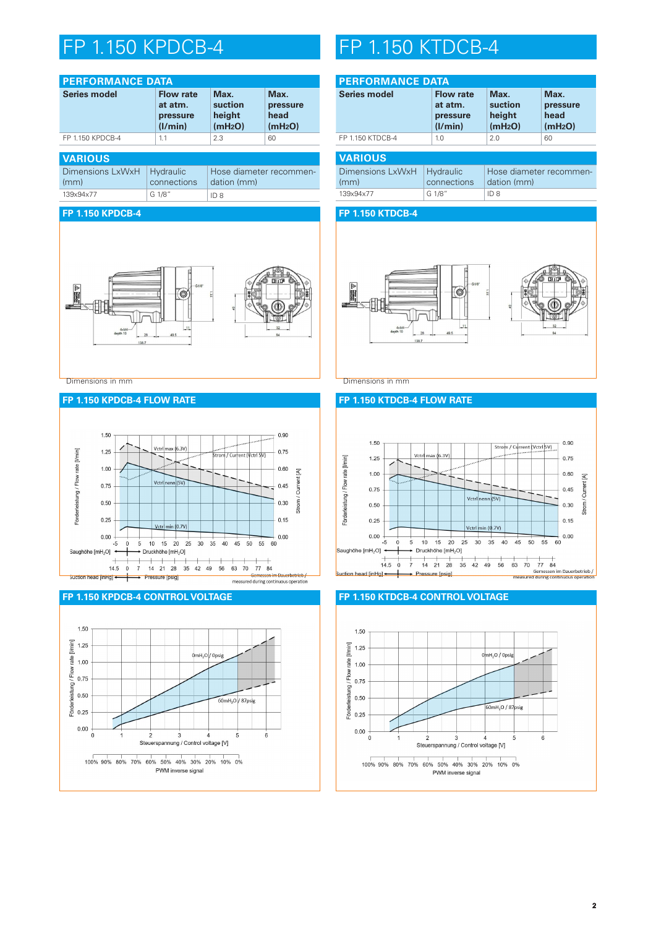# FP 1.150 KPDCB-4 FP 1.150 KTDCB-4

| <b>PERFORMANCE DATA</b>  |                                                    |                                                  |                                                 |  |
|--------------------------|----------------------------------------------------|--------------------------------------------------|-------------------------------------------------|--|
| Series model             | <b>Flow rate</b><br>at atm.<br>pressure<br>(I/min) | Max.<br>suction<br>height<br>(mH <sub>2</sub> O) | Max.<br>pressure<br>head<br>(mH <sub>2</sub> O) |  |
| FP 1.150 KPDCB-4         | 1.1                                                | 2.3                                              | 60                                              |  |
| <b>VARIOUS</b>           |                                                    |                                                  |                                                 |  |
| Dimensions LxWxH<br>(mm) | Hydraulic<br>connections                           | Hose diameter recommen-<br>dation (mm)           |                                                 |  |
| 139x94x77                | G 1/8"                                             | ID 8                                             |                                                 |  |

# **FP 1.150 KPDCB-4**



Dimensions in mm Dimensions in mm

# **FP 1.150 KPDCB-4 FLOW RATE**







| <b>PERFORMANCE DATA</b>  |                                                    |                                                  |                                                 |
|--------------------------|----------------------------------------------------|--------------------------------------------------|-------------------------------------------------|
| <b>Series model</b>      | <b>Flow rate</b><br>at atm.<br>pressure<br>(I/min) | Max.<br>suction<br>height<br>(mH <sub>2</sub> O) | Max.<br>pressure<br>head<br>(mH <sub>2</sub> O) |
| FP 1.150 KTDCB-4         | 1.0                                                | 2.0                                              | 60                                              |
| <b>VARIOUS</b>           |                                                    |                                                  |                                                 |
| Dimensions LxWxH<br>(mm) | Hydraulic<br>connections                           | Hose diameter recommen-<br>dation (mm)           |                                                 |
| 139x94x77                | G 1/8"                                             | ID <sub>8</sub>                                  |                                                 |

## **FP 1.150 KTDCB-4**



# **FP 1.150 KTDCB-4 FLOW RATE**



# **FP 1.150 KTDCB-4 CONTROL VOLTAGE**